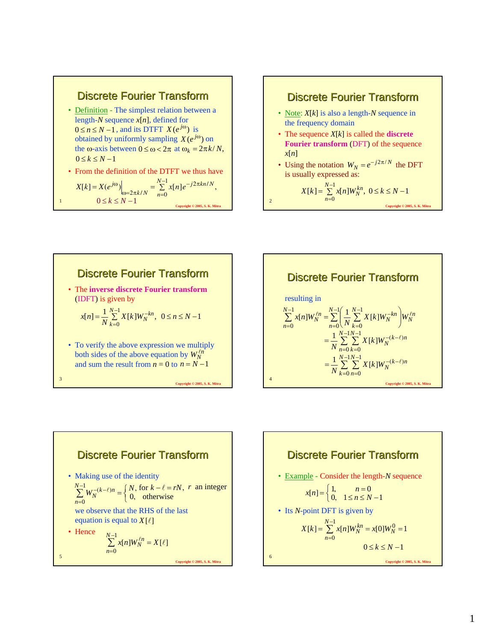#### Discrete Fourier Transform

• Definition - The simplest relation between a length-*N* sequence *x*[*n*], defined for  $0 \le n \le N - 1$ , and its DTFT  $X(e^{j\omega})$  is obtained by uniformly sampling  $X(e^{j\omega})$  on the  $\omega$ -axis between  $0 \leq \omega < 2\pi$  at  $\omega_k = 2\pi k/N$ ,  $0 \leq k \leq N-1$ 

• From the definition of the DTFT we thus have

$$
X[k] = X(e^{j\omega})\Big|_{\omega=2\pi k/N} = \sum_{n=0}^{N-1} x[n]e^{-j2\pi kn/N},
$$
  
\n
$$
0 \le k \le N-1
$$
  
\n
$$
X[k] = \sum_{n=0}^{N-1} x[n]W_N^{kn}, 0 \le k \le N-1
$$
  
\n
$$
X[k] = \sum_{n=0}^{N-1} x[n]W_N^{kn}, 0 \le k \le N-1
$$

1

3

# Discrete Fourier Transform

- Note: *X*[*k*] is also a length-*N* sequence in the frequency domain
- The sequence *X*[*k*] is called the **discrete Fourier transform** (DFT) of the sequence *x*[*n*]
- Using the notation  $W_N = e^{-j2\pi/N}$  the DFT is usually expressed as:

$$
X[k] = \sum_{n=0}^{N-1} x[n]W_N^{kn}, \ 0 \le k \le N-1
$$



**Copyright © 2005, S. K. Mit** 





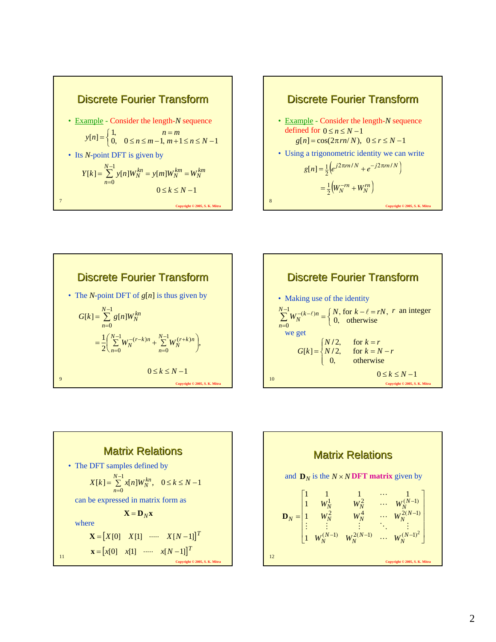









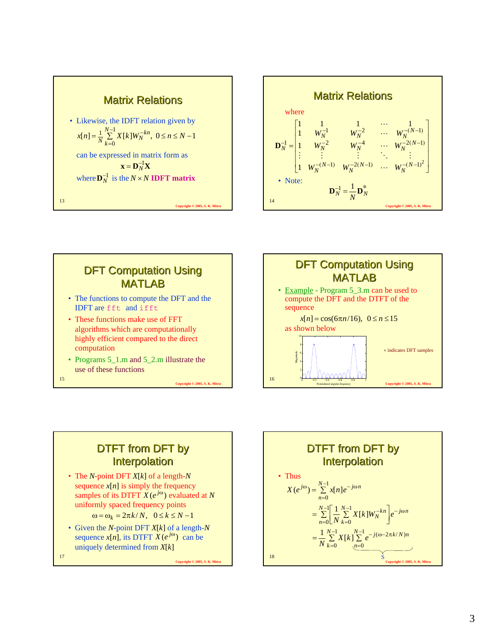







## DTFT from DFT by **Interpolation**

- The *N*-point DFT *X*[*k*] of a length-*N* sequence  $x[n]$  is simply the frequency samples of its DTFT  $X(e^{j\omega})$  evaluated at *N* uniformly spaced frequency points  $\omega = \omega_k = 2\pi k/N$ ,  $0 \le k \le N-1$
- Given the *N*-point DFT *X*[*k*] of a length-*N* sequence  $x[n]$ , its DTFT  $\overline{X(e^{j\omega})}$  can be uniquely determined from *X*[*k*]

**Copyright © 2005, S. K. Mitra**

18 **Copyright © 2005, S. K. Mitra** DTFT from DFT by **Interpolation** • Thus  $=\sum_{n=1}^{N-1}$ =  $\omega_{\lambda} = \frac{N-1}{\sum_{n=1}^{\infty} n! n! e^{-j\omega_{n}}}$  $\overline{0}$  $(e^{j\omega}) = \sum_{n=1}^{N-1} x[n]$ *n*  $X(e^{j\omega}) = \sum_{n=1}^{N-1} x[n]e^{-j\omega n}$  $\sum_{N=1}^{N-1} \left[ \frac{1}{N} \sum_{k=1}^{N-1} \frac{1}{k!} \frac{1}{k!} \frac{N-k}{k!} \right]_{\alpha} = j\omega n$ *n N*  $\sum_{k=0}^{n-1} \left[ \frac{1}{N} \sum_{k=0}^{N-1} X[k] W_N^{-kn} \right] e^{-j\omega}$ = −  $=\sum_{n=0}^{N-1}\left[\frac{1}{N}\sum_{k=0}^{N-1}X[k]W_N^{-kn}\right]$  $\bf{0}$ 1  $\bf{0}$  $\frac{1}{N} \sum_{k=1}^{N-1} X[k]$  $=\frac{1}{N}\sum_{i=1}^{N-1}X[k]\sum_{i=1}^{N-1}$ = − =  $\frac{N-1}{\mathbf{V}[k]\sum_{i=1}^{N-1}(-1)^{i}(\omega-2\pi)}$ 0 1 0  $\frac{1}{N} \sum_{k=1}^{N-1} X[k] \sum_{k=1}^{N-1} e^{-j(\omega - 2\pi k/N)}$ *k N*  $\frac{1}{N} \sum_{k=0}^{N-1} X[k] \sum_{n=0}^{N-1} e^{-j(\omega - 2\pi k/N)n}$ S

17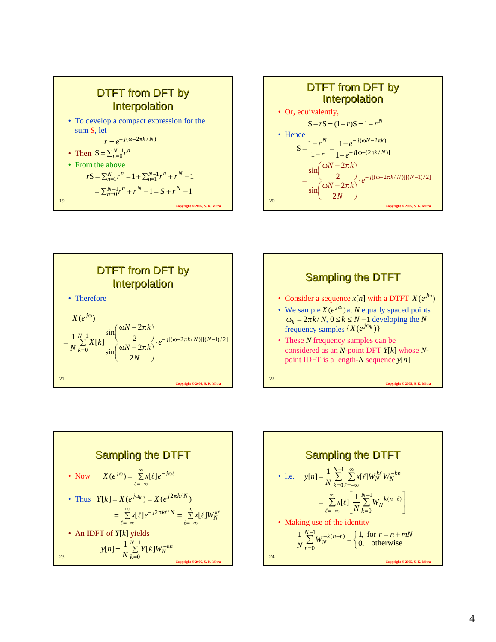









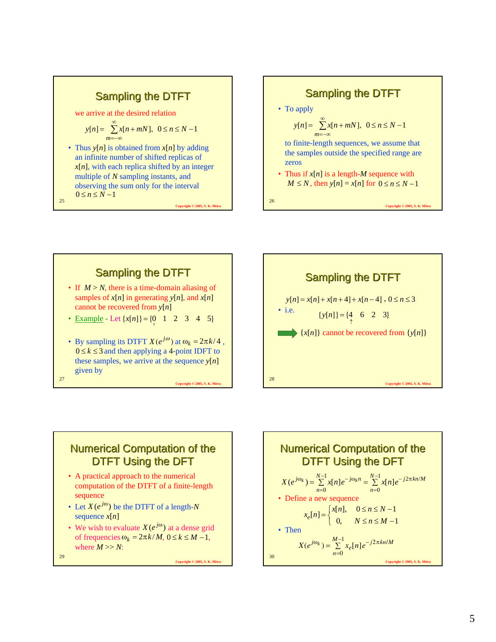#### Sampling the DTFT

we arrive at the desired relation

$$
y[n] = \sum_{m=-\infty}^{\infty} x[n+mN], \ \ 0 \le n \le N-1
$$

• Thus *y*[*n*] is obtained from *x*[*n*] by adding an infinite number of shifted replicas of  $x[n]$ , with each replica shifted by an integer multiple of *N* sampling instants, and observing the sum only for the interval  $0 \leq n \leq N-1$ 

**Copyright © 2005, S. K. Mit** 

**Copyright © 2005, S. K. Mitra**

**Copyright © 2005, S. K. Mitra**

**Sampling the DTFT**  
\n• To apply  
\n
$$
y[n] = \sum_{m=-\infty}^{\infty} x[n+mN], \ 0 \le n \le N-1
$$
\nto finite-length sequences, we assume that the samples outside the specified range are zeros  
\n• Thus if  $x[n]$  is a length-M sequence with  
\n $M \le N$ , then  $y[n] = x[n]$  for  $0 \le n \le N-1$   
\n26

**Copyright © 2005, S. K. Mitra**





## **Numerical Computation of the** DTFT Using the DFT

- A practical approach to the numerical computation of the DTFT of a finite-length sequence
- Let  $X(e^{j\omega})$  be the DTFT of a length-*N* sequence *x*[*n*]
- We wish to evaluate  $X(e^{j\omega})$  at a dense grid of frequencies  $\omega_k = 2\pi k / M$ ,  $0 \le k \le M - 1$ , where  $M \gg N$ :

29

25

27

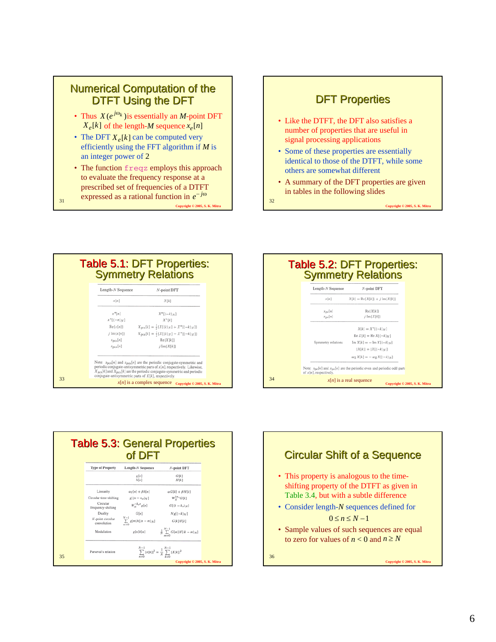### **Numerical Computation of the** DTFT Using the DFT

- Thus  $X(e^{j\omega_k})$  is essentially an *M*-point DFT  $X_e[k]$  of the length-*M* sequence  $x_e[n]$
- The DFT  $X_e[k]$  can be computed very efficiently using the FFT algorithm if *M* is an integer power of 2
- The function freqz employs this approach to evaluate the frequency response at a prescribed set of frequencies of a DTFT
- **Copyright © 2005, S. K. Mitra** expressed as a rational function in  $e^{-j\omega}$   $\Big|_{32}$

31

#### **DFT Properties**

- Like the DTFT, the DFT also satisfies a number of properties that are useful in signal processing applications
- Some of these properties are essentially identical to those of the DTFT, while some others are somewhat different
- A summary of the DFT properties are given in tables in the following slides

**Copyright © 2005, S. K. Mitra**







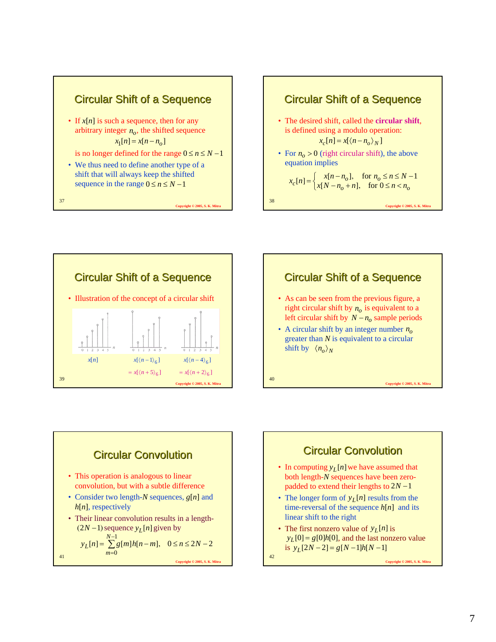









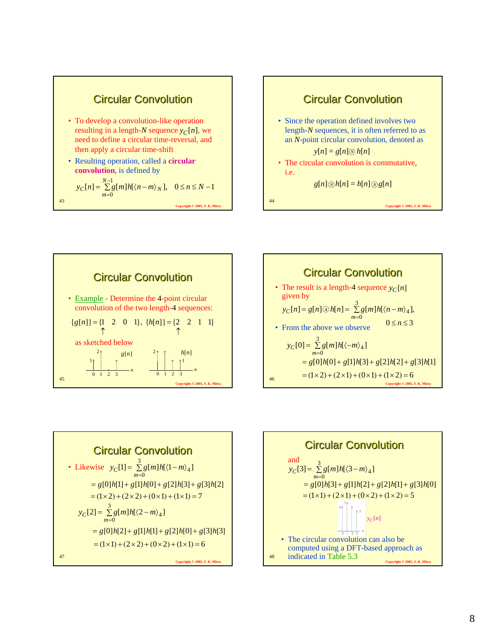

**Copyright © 2005, S. K. Mitra**



**Copyright © 2005, S. K. Mitra**

43







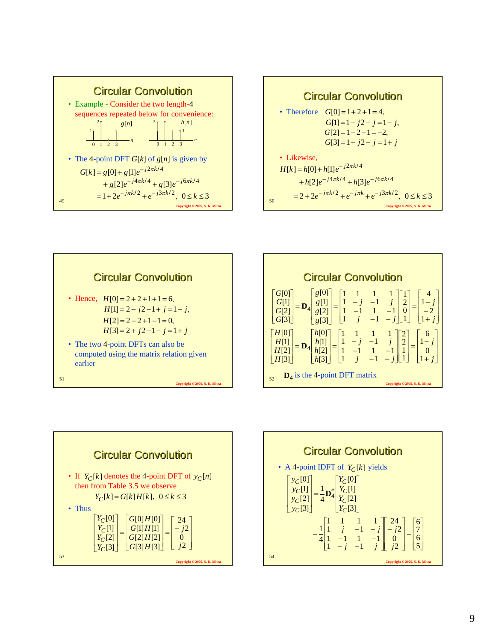









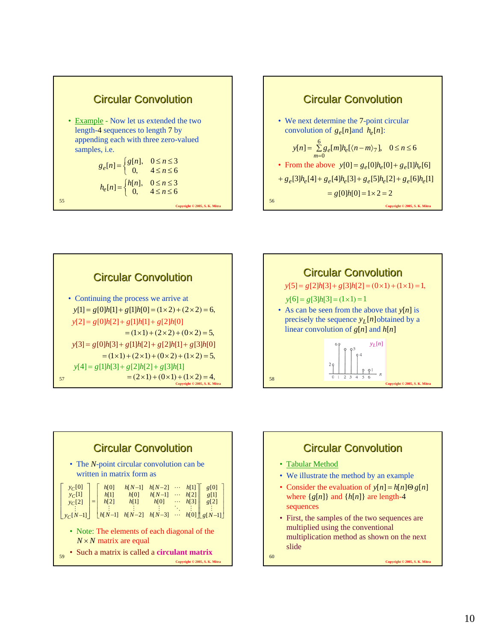